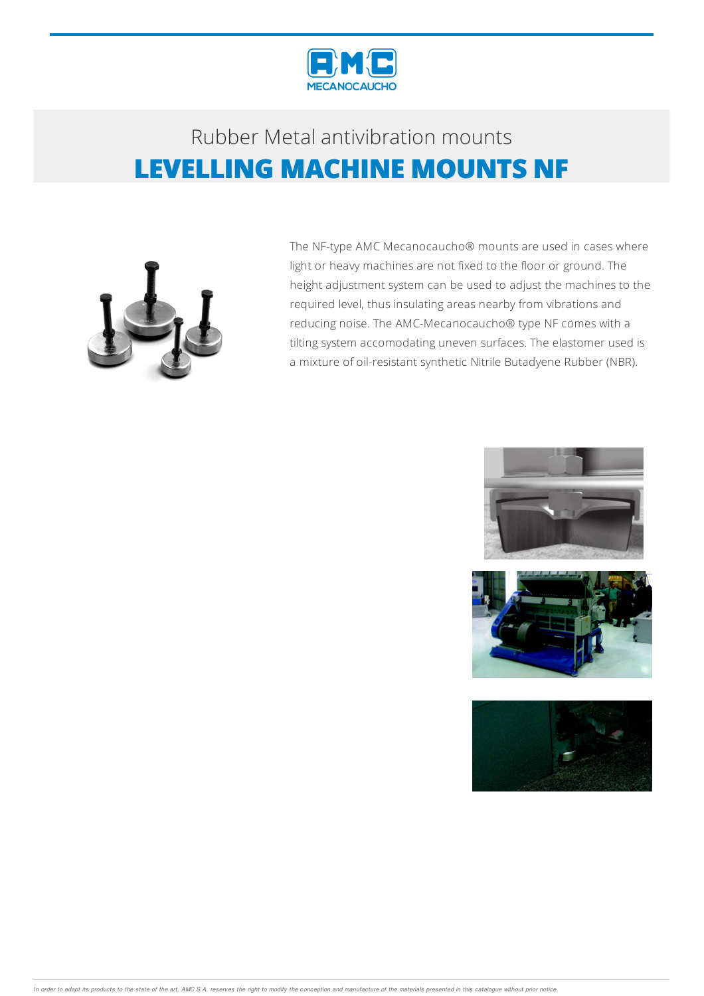

## Rubber Metalantivibration mounts **LEVELLING MACHINE MOUNTS NF**



The NF-type AMC Mecanocaucho® mounts are used in cases where light or heavy machines are not fixed to the floor or ground. The height adjustment system can be used to adjust the machines to the required level, thus insulating areas nearby from vibrations and reducing noise. The AMC-Mecanocaucho® type NF comes with a tilting system accomodating uneven surfaces. The elastomer used is a mixture of oil-resistant synthetic Nitrile Butadyene Rubber (NBR).





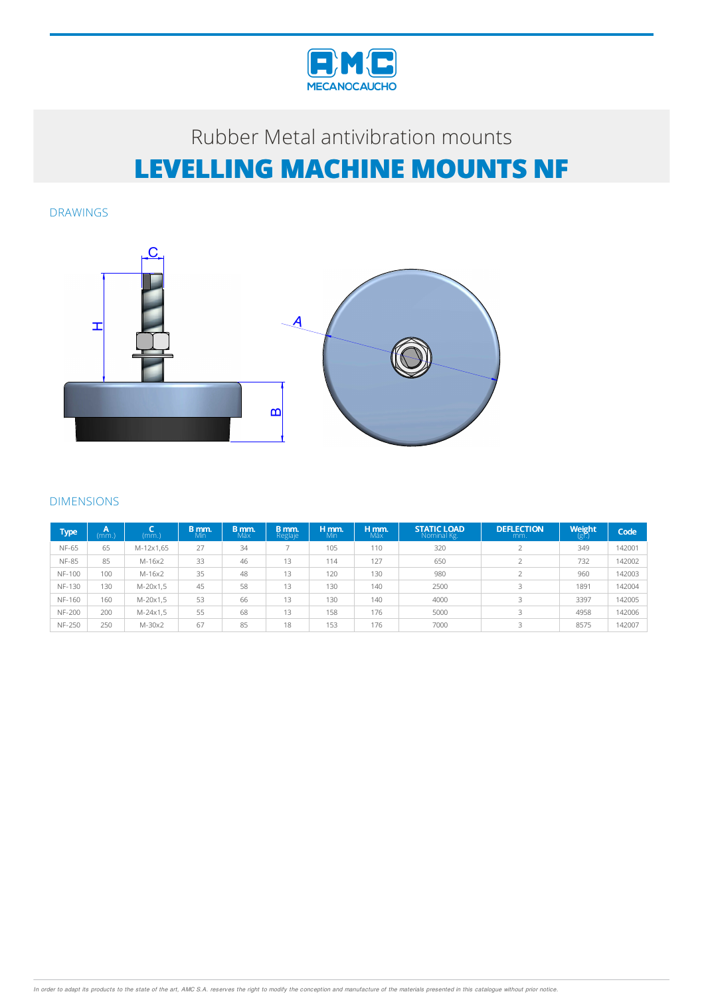

# Rubber Metal antivibration mounts **LEVELLING MACHINE MOUNTS NF**

DRAWINGS



#### DIMENSIONS

| Type          | Α<br>(mm.) | (mm.)     | B mm.<br>Mín | B mm.<br>Máx | B mm.<br>Reglaje | H mm.<br>Min | H mm.<br>Máx | <b>STATIC LOAD</b><br>Nominal Kg. | <b>DEFLECTION</b><br>mm. | Weight<br>ı (gr.) | Code   |
|---------------|------------|-----------|--------------|--------------|------------------|--------------|--------------|-----------------------------------|--------------------------|-------------------|--------|
| <b>NF-65</b>  | 65         | M-12x1,65 | 27           | 34           |                  | 105          | 110          | 320                               |                          | 349               | 142001 |
| <b>NF-85</b>  | 85         | $M-16x2$  | 33           | 46           | 13               | 114          | 127          | 650                               |                          | 732               | 142002 |
| <b>NF-100</b> | 100        | $M-16x2$  | 35           | 48           | 13               | 120          | 130          | 980                               |                          | 960               | 142003 |
| <b>NF-130</b> | 130        | M-20x1,5  | 45           | 58           | 13               | 130          | 140          | 2500                              |                          | 1891              | 142004 |
| <b>NF-160</b> | 160        | M-20x1,5  | 53           | 66           | 13               | 130          | 140          | 4000                              |                          | 3397              | 142005 |
| <b>NF-200</b> | 200        | M-24x1,5  | 55           | 68           | 13               | 158          | 176          | 5000                              | 3                        | 4958              | 142006 |
| <b>NF-250</b> | 250        | $M-30x2$  | 67           | 85           | 18               | 153          | 176          | 7000                              |                          | 8575              | 142007 |